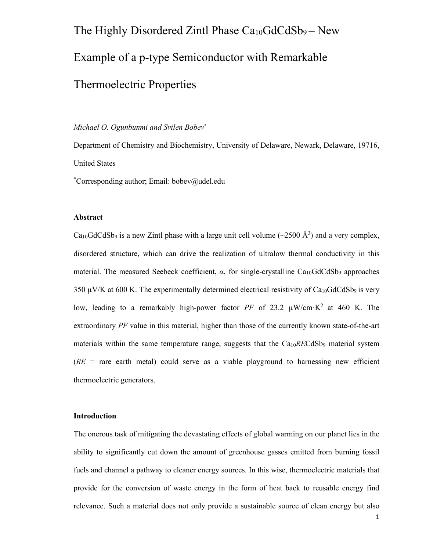# The Highly Disordered Zintl Phase  $Ca_{10}GdCdSb_9 - New$ Example of a p-type Semiconductor with Remarkable Thermoelectric Properties

# *Michael O. Ogunbunmi and Svilen Bobev*\*

Department of Chemistry and Biochemistry, University of Delaware, Newark, Delaware, 19716, United States

\* Corresponding author; Email: bobev@udel.edu

# **Abstract**

Ca<sub>10</sub>GdCdSb<sub>9</sub> is a new Zintl phase with a large unit cell volume ( $\sim$ 2500 Å<sup>3</sup>) and a very complex, disordered structure, which can drive the realization of ultralow thermal conductivity in this material. The measured Seebeck coefficient, *α*, for single-crystalline Ca<sub>10</sub>GdCdSb<sub>9</sub> approaches 350  $\mu$ V/K at 600 K. The experimentally determined electrical resistivity of Ca<sub>10</sub>GdCdSb<sub>9</sub> is very low, leading to a remarkably high-power factor  $PF$  of 23.2  $\mu$ W/cm·K<sup>2</sup> at 460 K. The extraordinary *PF* value in this material, higher than those of the currently known state-of-the-art materials within the same temperature range, suggests that the  $Ca<sub>10</sub>RECdSb<sub>9</sub>$  material system  $(RE = \text{rare earth metal})$  could serve as a viable playground to harnessing new efficient thermoelectric generators.

### **Introduction**

The onerous task of mitigating the devastating effects of global warming on our planet lies in the ability to significantly cut down the amount of greenhouse gasses emitted from burning fossil fuels and channel a pathway to cleaner energy sources. In this wise, thermoelectric materials that provide for the conversion of waste energy in the form of heat back to reusable energy find relevance. Such a material does not only provide a sustainable source of clean energy but also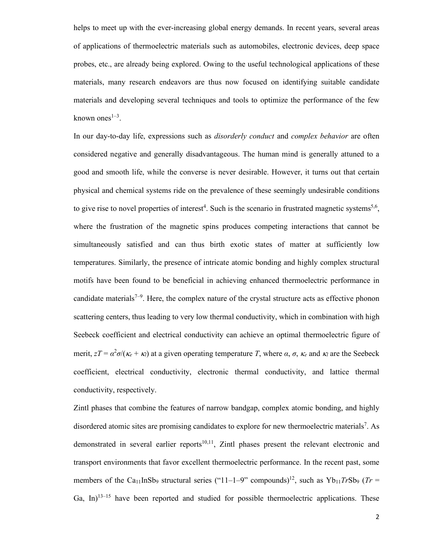helps to meet up with the ever-increasing global energy demands. In recent years, several areas of applications of thermoelectric materials such as automobiles, electronic devices, deep space probes, etc., are already being explored. Owing to the useful technological applications of these materials, many research endeavors are thus now focused on identifying suitable candidate materials and developing several techniques and tools to optimize the performance of the few known ones $^{1-3}$ .

In our day-to-day life, expressions such as *disorderly conduct* and *complex behavior* are often considered negative and generally disadvantageous. The human mind is generally attuned to a good and smooth life, while the converse is never desirable. However, it turns out that certain physical and chemical systems ride on the prevalence of these seemingly undesirable conditions to give rise to novel properties of interest<sup>4</sup>. Such is the scenario in frustrated magnetic systems<sup>5,6</sup>, where the frustration of the magnetic spins produces competing interactions that cannot be simultaneously satisfied and can thus birth exotic states of matter at sufficiently low temperatures. Similarly, the presence of intricate atomic bonding and highly complex structural motifs have been found to be beneficial in achieving enhanced thermoelectric performance in candidate materials<sup> $7-9$ </sup>. Here, the complex nature of the crystal structure acts as effective phonon scattering centers, thus leading to very low thermal conductivity, which in combination with high Seebeck coefficient and electrical conductivity can achieve an optimal thermoelectric figure of merit,  $zT = \alpha^2 \sigma / (\kappa_e + \kappa_l)$  at a given operating temperature *T*, where  $\alpha$ ,  $\sigma$ ,  $\kappa_e$  and  $\kappa_l$  are the Seebeck coefficient, electrical conductivity, electronic thermal conductivity, and lattice thermal conductivity, respectively.

Zintl phases that combine the features of narrow bandgap, complex atomic bonding, and highly disordered atomic sites are promising candidates to explore for new thermoelectric materials<sup>7</sup>. As demonstrated in several earlier reports<sup>10,11</sup>, Zintl phases present the relevant electronic and transport environments that favor excellent thermoelectric performance. In the recent past, some members of the Ca<sub>11</sub>InSb<sub>9</sub> structural series ("11–1–9" compounds)<sup>12</sup>, such as Yb<sub>11</sub>TrSb<sub>9</sub> (Tr = Ga, In) $13-15$  have been reported and studied for possible thermoelectric applications. These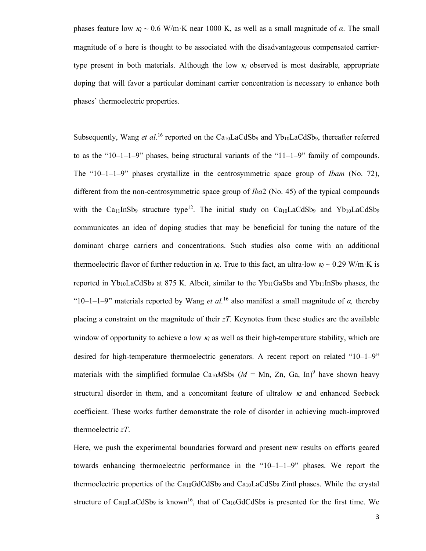phases feature low  $\kappa$  ~ 0.6 W/m·K near 1000 K, as well as a small magnitude of  $\alpha$ . The small magnitude of  $\alpha$  here is thought to be associated with the disadvantageous compensated carriertype present in both materials. Although the low  $\kappa_l$  observed is most desirable, appropriate doping that will favor a particular dominant carrier concentration is necessary to enhance both phases' thermoelectric properties.

Subsequently, Wang *et al.*<sup>16</sup> reported on the Ca<sub>10</sub>LaCdSb<sub>9</sub> and Yb<sub>10</sub>LaCdSb<sub>9</sub>, thereafter referred to as the "10–1–1–9" phases, being structural variants of the "11–1–9" family of compounds. The "10–1–1–9" phases crystallize in the centrosymmetric space group of *Ibam* (No. 72), different from the non-centrosymmetric space group of *Iba*2 (No. 45) of the typical compounds with the Ca<sub>11</sub>InSb<sub>9</sub> structure type<sup>12</sup>. The initial study on Ca<sub>10</sub>LaCdSb<sub>9</sub> and Yb<sub>10</sub>LaCdSb<sub>9</sub> communicates an idea of doping studies that may be beneficial for tuning the nature of the dominant charge carriers and concentrations. Such studies also come with an additional thermoelectric flavor of further reduction in  $\kappa_l$ . True to this fact, an ultra-low  $\kappa_l \sim 0.29$  W/m·K is reported in  $Yb_{10}LaCdSb_9$  at 875 K. Albeit, similar to the  $Yb_{11}GaSb_9$  and  $Yb_{11}InSb_9$  phases, the "10–1–1–9" materials reported by Wang *et al.*<sup>16</sup> also manifest a small magnitude of *α,* thereby placing a constraint on the magnitude of their *zT.* Keynotes from these studies are the available window of opportunity to achieve a low  $\kappa_l$  as well as their high-temperature stability, which are desired for high-temperature thermoelectric generators. A recent report on related "10–1–9" materials with the simplified formulae Ca<sub>10</sub>MSb<sub>9</sub> ( $M = Mn$ , Zn, Ga, In)<sup>9</sup> have shown heavy structural disorder in them, and a concomitant feature of ultralow  $\kappa_l$  and enhanced Seebeck coefficient. These works further demonstrate the role of disorder in achieving much-improved thermoelectric *zT*.

Here, we push the experimental boundaries forward and present new results on efforts geared towards enhancing thermoelectric performance in the " $10-1-1-9$ " phases. We report the thermoelectric properties of the  $Ca_{10}GdCdSb_9$  and  $Ca_{10}LaCdSb_9$  Zintl phases. While the crystal structure of Ca<sub>10</sub>LaCdSb<sub>9</sub> is known<sup>16</sup>, that of Ca<sub>10</sub>GdCdSb<sub>9</sub> is presented for the first time. We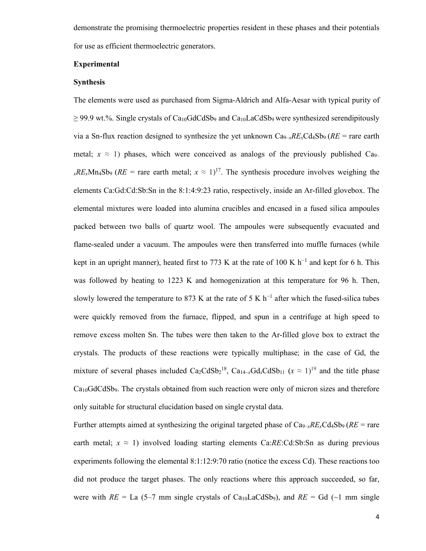demonstrate the promising thermoelectric properties resident in these phases and their potentials for use as efficient thermoelectric generators.

#### **Experimental**

# **Synthesis**

The elements were used as purchased from Sigma-Aldrich and Alfa-Aesar with typical purity of  $\geq$  99.9 wt.%. Single crystals of Ca<sub>10</sub>GdCdSb<sub>9</sub> and Ca<sub>10</sub>LaCdSb<sub>9</sub> were synthesized serendipitously via a Sn-flux reaction designed to synthesize the yet unknown  $Ca_{9-x}RE_xCd_4Sb_9$  ( $RE =$  rare earth metal;  $x \approx 1$ ) phases, which were conceived as analogs of the previously published Ca<sub>9</sub>–  $xRExMn_4Sb_9$  ( $RE =$  rare earth metal;  $x \approx 1$ )<sup>17</sup>. The synthesis procedure involves weighing the elements Ca:Gd:Cd:Sb:Sn in the 8:1:4:9:23 ratio, respectively, inside an Ar-filled glovebox. The elemental mixtures were loaded into alumina crucibles and encased in a fused silica ampoules packed between two balls of quartz wool. The ampoules were subsequently evacuated and flame-sealed under a vacuum. The ampoules were then transferred into muffle furnaces (while kept in an upright manner), heated first to 773 K at the rate of 100 K  $h^{-1}$  and kept for 6 h. This was followed by heating to 1223 K and homogenization at this temperature for 96 h. Then, slowly lowered the temperature to 873 K at the rate of 5 K  $h^{-1}$  after which the fused-silica tubes were quickly removed from the furnace, flipped, and spun in a centrifuge at high speed to remove excess molten Sn. The tubes were then taken to the Ar-filled glove box to extract the crystals. The products of these reactions were typically multiphase; in the case of Gd, the mixture of several phases included  $Ca_2CdSb_2^{18}$ ,  $Ca_{14-x}Gd_xCdSb_{11}$   $(x \approx 1)^{19}$  and the title phase  $Ca<sub>10</sub>GdCdSb<sub>9</sub>$ . The crystals obtained from such reaction were only of micron sizes and therefore only suitable for structural elucidation based on single crystal data.

Further attempts aimed at synthesizing the original targeted phase of  $Ca_{9-x}RE_xCd_4Sb_9$  ( $RE = \text{rare}$ ) earth metal;  $x \approx 1$ ) involved loading starting elements Ca:*RE*:Cd:Sb:Sn as during previous experiments following the elemental 8:1:12:9:70 ratio (notice the excess Cd). These reactions too did not produce the target phases. The only reactions where this approach succeeded, so far, were with  $RE = La$  (5–7 mm single crystals of Ca<sub>10</sub>LaCdSb<sub>9</sub>), and  $RE = Gd$  (~1 mm single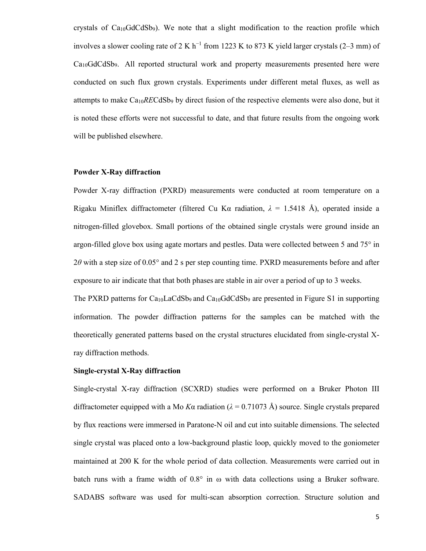crystals of  $Ca<sub>10</sub>GdCdSb<sub>9</sub>$ ). We note that a slight modification to the reaction profile which involves a slower cooling rate of 2 K h<sup>-1</sup> from 1223 K to 873 K yield larger crystals (2–3 mm) of  $Ca<sub>10</sub>GdCdSb<sub>9</sub>$ . All reported structural work and property measurements presented here were conducted on such flux grown crystals. Experiments under different metal fluxes, as well as attempts to make Ca10*RE*CdSb9 by direct fusion of the respective elements were also done, but it is noted these efforts were not successful to date, and that future results from the ongoing work will be published elsewhere.

# **Powder X-Ray diffraction**

Powder X-ray diffraction (PXRD) measurements were conducted at room temperature on a Rigaku Miniflex diffractometer (filtered Cu K $\alpha$  radiation,  $\lambda = 1.5418$  Å), operated inside a nitrogen-filled glovebox. Small portions of the obtained single crystals were ground inside an argon-filled glove box using agate mortars and pestles. Data were collected between 5 and 75° in 2*θ* with a step size of 0.05° and 2 s per step counting time. PXRD measurements before and after exposure to air indicate that that both phases are stable in air over a period of up to 3 weeks.

The PXRD patterns for Ca<sub>10</sub>LaCdSb<sub>9</sub> and Ca<sub>10</sub>GdCdSb<sub>9</sub> are presented in Figure S1 in supporting information. The powder diffraction patterns for the samples can be matched with the theoretically generated patterns based on the crystal structures elucidated from single-crystal Xray diffraction methods.

# **Single-crystal X-Ray diffraction**

Single-crystal X-ray diffraction (SCXRD) studies were performed on a Bruker Photon III diffractometer equipped with a Mo *K* $\alpha$  radiation ( $\lambda = 0.71073$  Å) source. Single crystals prepared by flux reactions were immersed in Paratone-N oil and cut into suitable dimensions. The selected single crystal was placed onto a low-background plastic loop, quickly moved to the goniometer maintained at 200 K for the whole period of data collection. Measurements were carried out in batch runs with a frame width of  $0.8^{\circ}$  in  $\omega$  with data collections using a Bruker software. SADABS software was used for multi-scan absorption correction. Structure solution and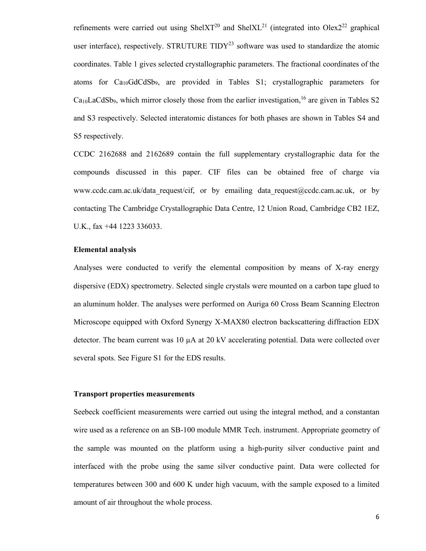refinements were carried out using ShelXT<sup>20</sup> and ShelXL<sup>21</sup> (integrated into Olex2<sup>22</sup> graphical user interface), respectively. STRUTURE TIDY<sup>23</sup> software was used to standardize the atomic coordinates. Table 1 gives selected crystallographic parameters. The fractional coordinates of the atoms for Ca10GdCdSb9, are provided in Tables S1; crystallographic parameters for  $Ca<sub>10</sub>LaCdSb<sub>9</sub>$ , which mirror closely those from the earlier investigation, <sup>16</sup> are given in Tables S2 and S3 respectively. Selected interatomic distances for both phases are shown in Tables S4 and S5 respectively.

CCDC 2162688 and 2162689 contain the full supplementary crystallographic data for the compounds discussed in this paper. CIF files can be obtained free of charge via www.ccdc.cam.ac.uk/data request/cif, or by emailing data request@ccdc.cam.ac.uk, or by contacting The Cambridge Crystallographic Data Centre, 12 Union Road, Cambridge CB2 1EZ, U.K., fax +44 1223 336033.

#### **Elemental analysis**

Analyses were conducted to verify the elemental composition by means of X-ray energy dispersive (EDX) spectrometry. Selected single crystals were mounted on a carbon tape glued to an aluminum holder. The analyses were performed on Auriga 60 Cross Beam Scanning Electron Microscope equipped with Oxford Synergy X-MAX80 electron backscattering diffraction EDX detector. The beam current was  $10 \mu A$  at  $20 \text{ kV}$  accelerating potential. Data were collected over several spots. See Figure S1 for the EDS results.

# **Transport properties measurements**

Seebeck coefficient measurements were carried out using the integral method, and a constantan wire used as a reference on an SB-100 module MMR Tech. instrument. Appropriate geometry of the sample was mounted on the platform using a high-purity silver conductive paint and interfaced with the probe using the same silver conductive paint. Data were collected for temperatures between 300 and 600 K under high vacuum, with the sample exposed to a limited amount of air throughout the whole process.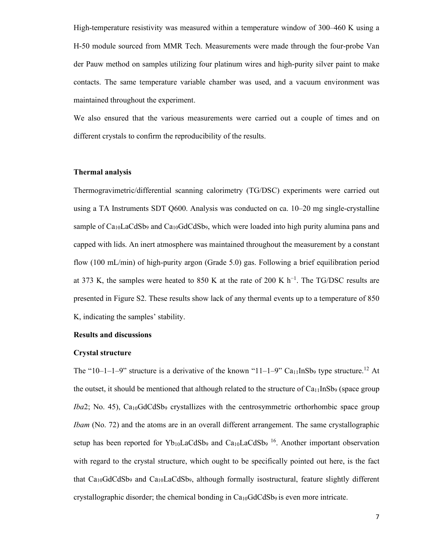High-temperature resistivity was measured within a temperature window of 300–460 K using a H-50 module sourced from MMR Tech. Measurements were made through the four-probe Van der Pauw method on samples utilizing four platinum wires and high-purity silver paint to make contacts. The same temperature variable chamber was used, and a vacuum environment was maintained throughout the experiment.

We also ensured that the various measurements were carried out a couple of times and on different crystals to confirm the reproducibility of the results.

# **Thermal analysis**

Thermogravimetric/differential scanning calorimetry (TG/DSC) experiments were carried out using a TA Instruments SDT Q600. Analysis was conducted on ca. 10–20 mg single-crystalline sample of Ca<sub>10</sub>LaCdSb<sub>9</sub> and Ca<sub>10</sub>GdCdSb<sub>9</sub>, which were loaded into high purity alumina pans and capped with lids. An inert atmosphere was maintained throughout the measurement by a constant flow (100 mL/min) of high-purity argon (Grade 5.0) gas. Following a brief equilibration period at 373 K, the samples were heated to 850 K at the rate of 200 K h<sup>-1</sup>. The TG/DSC results are presented in Figure S2. These results show lack of any thermal events up to a temperature of 850 K, indicating the samples' stability.

#### **Results and discussions**

#### **Crystal structure**

The "10–1–1–9" structure is a derivative of the known "11–1–9" Ca<sub>11</sub>InSb<sub>9</sub> type structure.<sup>12</sup> At the outset, it should be mentioned that although related to the structure of  $Ca_{11}InSb_9$  (space group *Iba*2; No. 45), Ca<sub>10</sub>GdCdSb<sub>9</sub> crystallizes with the centrosymmetric orthorhombic space group *Ibam* (No. 72) and the atoms are in an overall different arrangement. The same crystallographic setup has been reported for  $Yb_{10}LaCdSb_9$  and  $Ca_{10}LaCdSb_9$  <sup>16</sup>. Another important observation with regard to the crystal structure, which ought to be specifically pointed out here, is the fact that  $Ca<sub>10</sub>GdCdSb<sub>9</sub>$  and  $Ca<sub>10</sub>LaCdSb<sub>9</sub>$ , although formally isostructural, feature slightly different crystallographic disorder; the chemical bonding in  $Ca<sub>10</sub>GdCdSb<sub>9</sub>$  is even more intricate.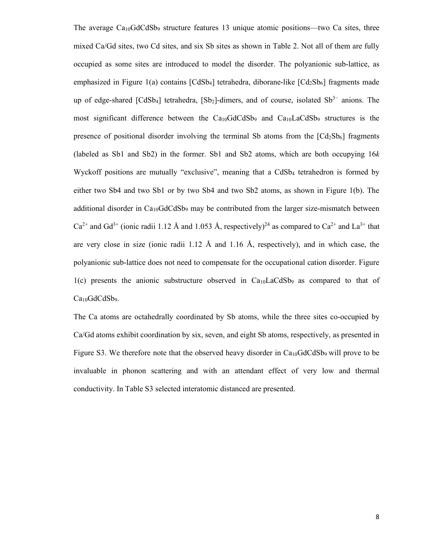The average  $Ca<sub>10</sub>GdCdSb<sub>9</sub>$  structure features 13 unique atomic positions—two Ca sites, three mixed Ca/Gd sites, two Cd sites, and six Sb sites as shown in Table 2. Not all of them are fully occupied as some sites are introduced to model the disorder. The polyanionic sub-lattice, as emphasized in Figure 1(a) contains  $[CdSb<sub>4</sub>]$  tetrahedra, diborane-like  $[Cd<sub>2</sub>Sb<sub>6</sub>]$  fragments made up of edge-shared  $[CdSb_4]$  tetrahedra,  $[Sb_2]$ -dimers, and of course, isolated  $Sb<sup>3−</sup>$  anions. The most significant difference between the  $Ca<sub>10</sub>GdCdSb<sub>9</sub>$  and  $Ca<sub>10</sub>LaCdSb<sub>9</sub>$  structures is the presence of positional disorder involving the terminal Sb atoms from the  $\left[ Cd_2Sb_6\right]$  fragments (labeled as Sb1 and Sb2) in the former. Sb1 and Sb2 atoms, which are both occupying 16*k* Wyckoff positions are mutually "exclusive", meaning that a CdSb<sub>4</sub> tetrahedron is formed by either two Sb4 and two Sb1 or by two Sb4 and two Sb2 atoms, as shown in Figure 1(b). The additional disorder in  $Ca<sub>10</sub>GdCdSb<sub>9</sub>$  may be contributed from the larger size-mismatch between  $Ca^{2+}$  and  $Gd^{3+}$  (ionic radii 1.12 Å and 1.053 Å, respectively)<sup>24</sup> as compared to  $Ca^{2+}$  and  $La^{3+}$  that are very close in size (ionic radii 1.12  $\AA$  and 1.16  $\AA$ , respectively), and in which case, the polyanionic sub-lattice does not need to compensate for the occupational cation disorder. Figure  $1(c)$  presents the anionic substructure observed in Ca<sub>10</sub>LaCdSb<sub>9</sub> as compared to that of Ca<sub>10</sub>GdCdSb<sub>9</sub>.

The Ca atoms are octahedrally coordinated by Sb atoms, while the three sites co-occupied by Ca/Gd atoms exhibit coordination by six, seven, and eight Sb atoms, respectively, as presented in Figure S3. We therefore note that the observed heavy disorder in  $Ca<sub>10</sub>GdCdSb<sub>9</sub>$  will prove to be invaluable in phonon scattering and with an attendant effect of very low and thermal conductivity. In Table S3 selected interatomic distanced are presented.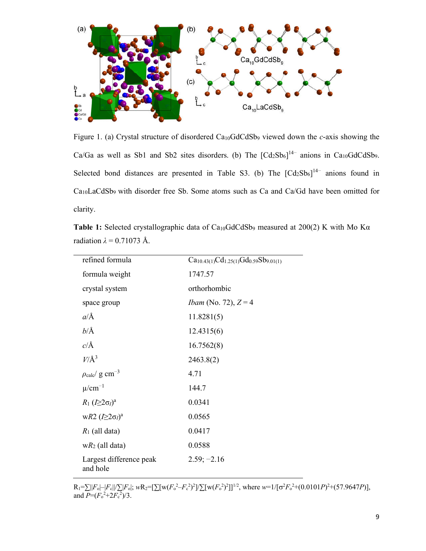

Figure 1. (a) Crystal structure of disordered Ca10GdCdSb9 viewed down the *c*-axis showing the Ca/Ga as well as Sb1 and Sb2 sites disorders. (b) The  $[Cd_2Sb_6]^{14-}$  anions in Ca<sub>10</sub>GdCdSb<sub>9</sub>. Selected bond distances are presented in Table S3. (b) The  $[Cd_2Sb_6]^{14-}$  anions found in Ca10LaCdSb9 with disorder free Sb. Some atoms such as Ca and Ca/Gd have been omitted for clarity.

**Table 1:** Selected crystallographic data of Ca<sub>10</sub>GdCdSb<sub>9</sub> measured at 200(2) K with Mo Kα radiation  $\lambda = 0.71073$  Å.

| refined formula                            | $Ca_{10.43(1)}Cd_{1.25(1)}Gd_{0.59}Sb_{9.01(1)}$ |
|--------------------------------------------|--------------------------------------------------|
| formula weight                             | 1747.57                                          |
| crystal system                             | orthorhombic                                     |
| space group                                | <i>Ibam</i> (No. 72), $Z = 4$                    |
| $a/\text{\AA}$                             | 11.8281(5)                                       |
| $b/\text{\AA}$                             | 12.4315(6)                                       |
| $c/\text{\AA}$                             | 16.7562(8)                                       |
| $V/\AA$ <sup>3</sup>                       | 2463.8(2)                                        |
| $\rho_{\rm calc}/\,{\rm g}\ {\rm cm}^{-3}$ | 4.71                                             |
| $\mu$ /cm <sup>-1</sup>                    | 144.7                                            |
| $R_1 (I \geq 2\sigma_I)^a$                 | 0.0341                                           |
| wR2 $(I \geq 2\sigma_I)^a$                 | 0.0565                                           |
| $R_1$ (all data)                           | 0.0417                                           |
| $wR_2$ (all data)                          | 0.0588                                           |
| Largest difference peak<br>and hole        | $2.59; -2.16$                                    |

 $R_1 = \sum ||F_0| - |F_c||/\sum |F_0|$ ;  $wR_2 = [\sum [w(F_0^2 - F_c^2)^2]/\sum [w(F_0^2)^2]]^{1/2}$ , where  $w=1/[\sigma^2 F_0^2 + (0.0101P)^2 + (57.9647P)],$ and  $P=(F_0^2+2F_0^2)/3$ .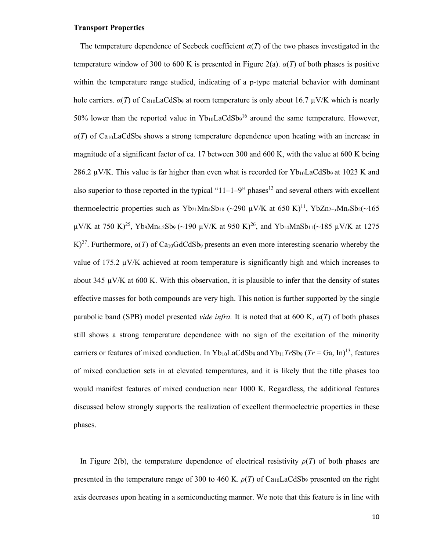#### **Transport Properties**

The temperature dependence of Seebeck coefficient  $\alpha(T)$  of the two phases investigated in the temperature window of 300 to 600 K is presented in Figure 2(a).  $\alpha(T)$  of both phases is positive within the temperature range studied, indicating of a p-type material behavior with dominant hole carriers.  $\alpha(T)$  of Ca<sub>10</sub>LaCdSb<sub>9</sub> at room temperature is only about 16.7  $\mu$ V/K which is nearly 50% lower than the reported value in  $Yb_{10}LaCdSb<sub>9</sub><sup>16</sup>$  around the same temperature. However,  $\alpha(T)$  of Ca<sub>10</sub>LaCdSb<sub>9</sub> shows a strong temperature dependence upon heating with an increase in magnitude of a significant factor of ca. 17 between 300 and 600 K, with the value at 600 K being 286.2  $\mu$ V/K. This value is far higher than even what is recorded for Yb<sub>10</sub>LaCdSb<sub>9</sub> at 1023 K and also superior to those reported in the typical " $11-1-9$ " phases<sup>13</sup> and several others with excellent thermoelectric properties such as  $Yb_{21}Mn_4Sb_{18}$  (~290 µV/K at 650 K)<sup>11</sup>,  $YbZn_{2-x}Mn_xSb_2$ (~165  $\mu$ V/K at 750 K)<sup>25</sup>, Yb<sub>9</sub>Mn<sub>4.2</sub>Sb<sub>9</sub> (~190  $\mu$ V/K at 950 K)<sup>26</sup>, and Yb<sub>14</sub>MnSb<sub>11</sub>(~185  $\mu$ V/K at 1275 K)<sup>27</sup>. Furthermore,  $\alpha(T)$  of Ca<sub>10</sub>GdCdSb<sub>9</sub> presents an even more interesting scenario whereby the value of 175.2  $\mu$ V/K achieved at room temperature is significantly high and which increases to about 345  $\mu$ V/K at 600 K. With this observation, it is plausible to infer that the density of states effective masses for both compounds are very high. This notion is further supported by the single parabolic band (SPB) model presented *vide infra.* It is noted that at 600 K, *α*(*T*) of both phases still shows a strong temperature dependence with no sign of the excitation of the minority carriers or features of mixed conduction. In Yb<sub>10</sub>LaCdSb<sub>9</sub> and Yb<sub>11</sub>TrSb<sub>9</sub> (Tr = Ga, In)<sup>13</sup>, features of mixed conduction sets in at elevated temperatures, and it is likely that the title phases too would manifest features of mixed conduction near 1000 K. Regardless, the additional features discussed below strongly supports the realization of excellent thermoelectric properties in these phases.

In Figure 2(b), the temperature dependence of electrical resistivity  $\rho(T)$  of both phases are presented in the temperature range of 300 to 460 K.  $\rho(T)$  of Ca<sub>10</sub>LaCdSb<sub>9</sub> presented on the right axis decreases upon heating in a semiconducting manner. We note that this feature is in line with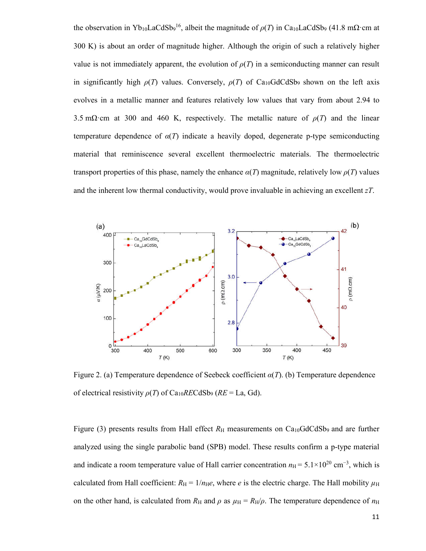the observation in Yb<sub>10</sub>LaCdSb<sub>9</sub><sup>16</sup>, albeit the magnitude of  $\rho(T)$  in Ca<sub>10</sub>LaCdSb<sub>9</sub> (41.8 m $\Omega$ ·cm at 300 K) is about an order of magnitude higher. Although the origin of such a relatively higher value is not immediately apparent, the evolution of  $\rho(T)$  in a semiconducting manner can result in significantly high  $\rho(T)$  values. Conversely,  $\rho(T)$  of Ca<sub>10</sub>GdCdSb<sub>9</sub> shown on the left axis evolves in a metallic manner and features relatively low values that vary from about 2.94 to 3.5 m $\Omega$ ·cm at 300 and 460 K, respectively. The metallic nature of  $\rho(T)$  and the linear temperature dependence of  $\alpha(T)$  indicate a heavily doped, degenerate p-type semiconducting material that reminiscence several excellent thermoelectric materials. The thermoelectric transport properties of this phase, namely the enhance  $\alpha(T)$  magnitude, relatively low  $\rho(T)$  values and the inherent low thermal conductivity, would prove invaluable in achieving an excellent *zT*.



Figure 2. (a) Temperature dependence of Seebeck coefficient *α*(*T*). (b) Temperature dependence of electrical resistivity *ρ*(*T*) of Ca10*RE*CdSb9 (*RE* = La, Gd).

Figure (3) presents results from Hall effect  $R_H$  measurements on Ca<sub>10</sub>GdCdSb<sub>9</sub> and are further analyzed using the single parabolic band (SPB) model. These results confirm a p-type material and indicate a room temperature value of Hall carrier concentration  $n_H = 5.1 \times 10^{20}$  cm<sup>-3</sup>, which is calculated from Hall coefficient:  $R_H = 1/n_He$ , where *e* is the electric charge. The Hall mobility  $\mu_H$ on the other hand, is calculated from  $R_H$  and  $\rho$  as  $\mu_H = R_H/\rho$ . The temperature dependence of  $n_H$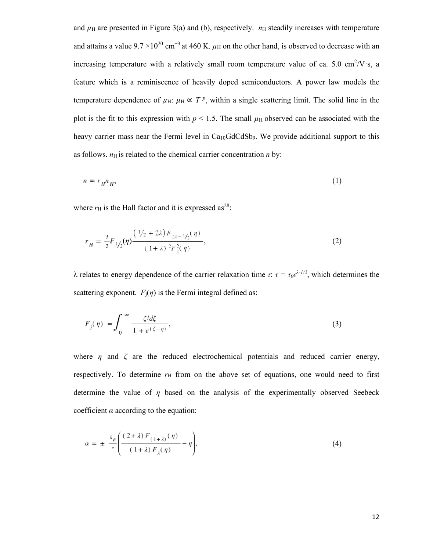and  $\mu$ <sub>H</sub> are presented in Figure 3(a) and (b), respectively.  $n_H$  steadily increases with temperature and attains a value  $9.7 \times 10^{20}$  cm<sup>-3</sup> at 460 K.  $\mu$ H on the other hand, is observed to decrease with an increasing temperature with a relatively small room temperature value of ca. 5.0 cm<sup>2</sup>/V·s, a feature which is a reminiscence of heavily doped semiconductors. A power law models the temperature dependence of  $\mu$ H:  $\mu$ H  $\propto T^{-p}$ , within a single scattering limit. The solid line in the plot is the fit to this expression with  $p < 1.5$ . The small  $\mu$ H observed can be associated with the heavy carrier mass near the Fermi level in  $Ca<sub>10</sub>GdCdSb<sub>9</sub>$ . We provide additional support to this as follows.  $n<sub>H</sub>$  is related to the chemical carrier concentration  $n$  by:

$$
n = r_H n_H,\tag{1}
$$

where  $r_{\rm H}$  is the Hall factor and it is expressed as<sup>28</sup>:

$$
r_{H} = \frac{3}{2} F_{1/2}(\eta) \frac{\left(\frac{1}{2} + 2\lambda\right) F_{2\lambda - 1/2}(\eta)}{\left(1 + \lambda\right)^2 F_{\lambda}^2(\eta)},\tag{2}
$$

λ relates to energy dependence of the carrier relaxation time *τ*:  $\tau = \tau_0 \epsilon^{\lambda - I/2}$ , which determines the scattering exponent.  $F_i(\eta)$  is the Fermi integral defined as:

$$
F_j(\eta) = \int_0^\infty \frac{\zeta^j d\zeta}{1 + e^{(\zeta - \eta)}},\tag{3}
$$

where  $\eta$  and  $\zeta$  are the reduced electrochemical potentials and reduced carrier energy, respectively. To determine  $r<sub>H</sub>$  from on the above set of equations, one would need to first determine the value of *η* based on the analysis of the experimentally observed Seebeck coefficient *α* according to the equation:

$$
\alpha = \pm \frac{k_B}{e} \left( \frac{(2+\lambda) F_{(1+\lambda)}(\eta)}{(1+\lambda) F_{\lambda}(\eta)} - \eta \right),\tag{4}
$$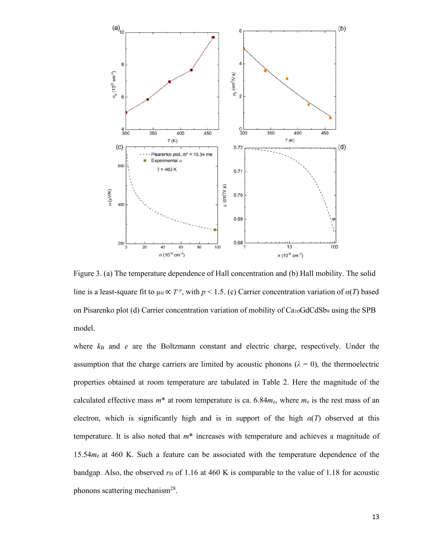

Figure 3. (a) The temperature dependence of Hall concentration and (b) Hall mobility. The solid line is a least-square fit to  $\mu_H \propto T^p$ , with  $p < 1.5$ . (c) Carrier concentration variation of  $\alpha(T)$  based on Pisarenko plot (d) Carrier concentration variation of mobility of  $Ca<sub>10</sub>GdCdSb<sub>9</sub>$  using the SPB model.

where  $k_B$  and *e* are the Boltzmann constant and electric charge, respectively. Under the assumption that the charge carriers are limited by acoustic phonons  $(\lambda = 0)$ , the thermoelectric properties obtained at room temperature are tabulated in Table 2. Here the magnitude of the calculated effective mass  $m^*$  at room temperature is ca. 6.84 $m_e$ , where  $m_e$  is the rest mass of an electron, which is significantly high and is in support of the high  $\alpha(T)$  observed at this temperature. It is also noted that *m*\* increases with temperature and achieves a magnitude of 15.54*m*e at 460 K. Such a feature can be associated with the temperature dependence of the bandgap. Also, the observed  $r<sub>H</sub>$  of 1.16 at 460 K is comparable to the value of 1.18 for acoustic phonons scattering mechanism<sup>28</sup>.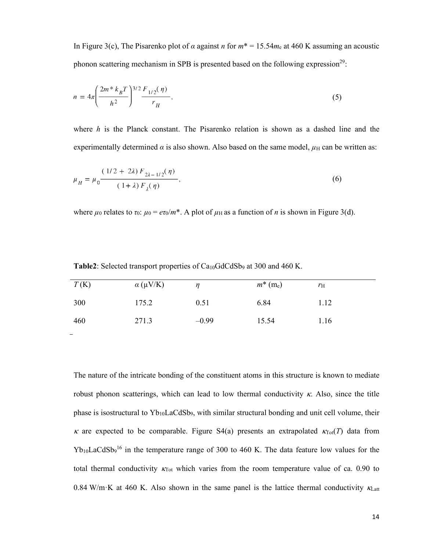In Figure 3(c), The Pisarenko plot of *α* against *n* for *m*\* = 15.54*m*<sup>e</sup> at 460 K assuming an acoustic phonon scattering mechanism in SPB is presented based on the following expression<sup>29</sup>:

$$
n = 4\pi \left(\frac{2m^* k_B T}{h^2}\right)^{3/2} \frac{F_{1/2}(\eta)}{r_H},\tag{5}
$$

where *h* is the Planck constant. The Pisarenko relation is shown as a dashed line and the experimentally determined  $\alpha$  is also shown. Also based on the same model,  $\mu$ <sub>H</sub> can be written as:

$$
\mu_H = \mu_0 \frac{(1/2 + 2\lambda) F_{2\lambda - 1/2}(\eta)}{(1 + \lambda) F_{\lambda}(\eta)},
$$
\n(6)

where  $\mu_0$  relates to  $\tau_0$ :  $\mu_0 = e\tau_0/m^*$ . A plot of  $\mu_H$  as a function of *n* is shown in Figure 3(d).

| T(K) | $\alpha$ (µV/K) | n       | $m^*$ (m <sub>e</sub> ) | $r_{\rm H}$ |
|------|-----------------|---------|-------------------------|-------------|
| 300  | 175.2           | 0.51    | 6.84                    | 1.12        |
| 460  | 271.3           | $-0.99$ | 15.54                   | 1.16        |

**Table2**: Selected transport properties of  $Ca<sub>10</sub>GdCdSb<sub>9</sub>$  at 300 and 460 K.

The nature of the intricate bonding of the constituent atoms in this structure is known to mediate robust phonon scatterings, which can lead to low thermal conductivity  $\kappa$ . Also, since the title phase is isostructural to Yb10LaCdSb9, with similar structural bonding and unit cell volume, their  $\kappa$  are expected to be comparable. Figure S4(a) presents an extrapolated  $\kappa_{\text{Tot}}(T)$  data from  $Yb_{10}LaCdSb<sub>9</sub><sup>16</sup>$  in the temperature range of 300 to 460 K. The data feature low values for the total thermal conductivity  $K_{\text{Tot}}$  which varies from the room temperature value of ca. 0.90 to 0.84 W/m·K at 460 K. Also shown in the same panel is the lattice thermal conductivity  $\kappa_{\text{Latt}}$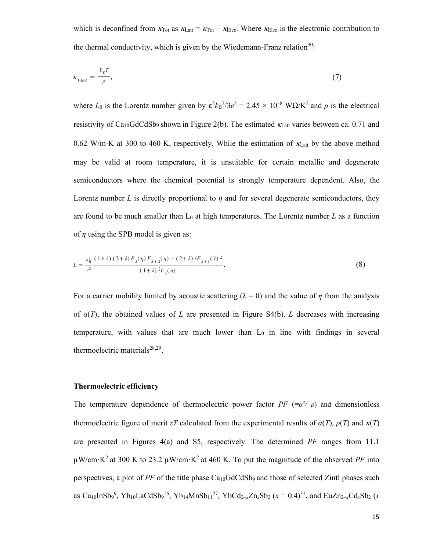which is deconfined from  $\kappa_{\text{Tot}}$  as  $\kappa_{\text{Latt}} = \kappa_{\text{Tot}} - \kappa_{\text{Elec}}$ . Where  $\kappa_{\text{Elec}}$  is the electronic contribution to the thermal conductivity, which is given by the Wiedemann-Franz relation<sup>30</sup>:

$$
\kappa_{Elec} = \frac{L_0 T}{\rho},\tag{7}
$$

where  $L_0$  is the Lorentz number given by  $\pi^2 k_B^2/3e^2 = 2.45 \times 10^{-8}$  WQ/K<sup>2</sup> and  $\rho$  is the electrical resistivity of Ca<sub>10</sub>GdCdSb<sub>9</sub> shown in Figure 2(b). The estimated  $K_{\text{Latt}}$  varies between ca. 0.71 and 0.62 W/m·K at 300 to 460 K, respectively. While the estimation of  $K_{Latt}$  by the above method may be valid at room temperature, it is unsuitable for certain metallic and degenerate semiconductors where the chemical potential is strongly temperature dependent. Also, the Lorentz number *L* is directly proportional to *η* and for several degenerate semiconductors, they are found to be much smaller than  $L_0$  at high temperatures. The Lorentz number  $L$  as a function of *η* using the SPB model is given as:

$$
L = \frac{k_B^2}{e^2} \frac{(1+\lambda)(3+\lambda) F_{\lambda}(\eta) F_{\lambda+2}(\eta) - (2+\lambda)^2 F_{\lambda+1}(\lambda)^2}{(1+\lambda)^2 F_{\lambda}(\eta)}.
$$
 (8)

For a carrier mobility limited by acoustic scattering ( $\lambda = 0$ ) and the value of *η* from the analysis of *α*(*T*), the obtained values of *L* are presented in Figure S4(b). *L* decreases with increasing temperature, with values that are much lower than  $L_0$  in line with findings in several thermoelectric materials $28,29$ .

#### **Thermoelectric efficiency**

The temperature dependence of thermoelectric power factor  $PF$  (= $\alpha^2/\rho$ ) and dimensionless thermoelectric figure of merit *zT* calculated from the experimental results of  $\alpha(T)$ ,  $\rho(T)$  and  $\kappa(T)$ are presented in Figures 4(a) and S5, respectively. The determined *PF* ranges from 11.1  $\mu$ W/cm·K<sup>2</sup> at 300 K to 23.2  $\mu$ W/cm·K<sup>2</sup> at 460 K. To put the magnitude of the observed *PF* into perspectives, a plot of *PF* of the title phase Ca10GdCdSb9 and those of selected Zintl phases such as Ca<sub>10</sub>InSb<sub>9</sub><sup>9</sup>, Yb<sub>10</sub>LaCdSb<sub>9</sub><sup>16</sup>, Yb<sub>14</sub>MnSb<sub>11</sub><sup>27</sup>, YbCd<sub>2-x</sub>Zn<sub>x</sub>Sb<sub>2</sub> (*x* = 0.4)<sup>31</sup>, and EuZn<sub>2-x</sub>Cd<sub>x</sub>Sb<sub>2</sub> (*x*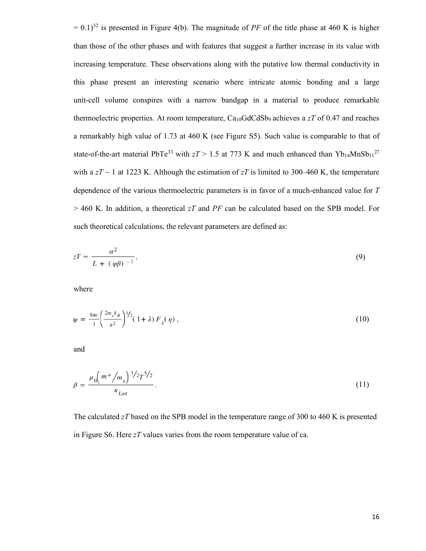$= 0.1$ )<sup>32</sup> is presented in Figure 4(b). The magnitude of *PF* of the title phase at 460 K is higher than those of the other phases and with features that suggest a further increase in its value with increasing temperature. These observations along with the putative low thermal conductivity in this phase present an interesting scenario where intricate atomic bonding and a large unit-cell volume conspires with a narrow bandgap in a material to produce remarkable thermoelectric properties. At room temperature, Ca10GdCdSb9 achieves a *zT* of 0.47 and reaches a remarkably high value of 1.73 at 460 K (see Figure S5). Such value is comparable to that of state-of-the-art material PbTe<sup>33</sup> with  $zT > 1.5$  at 773 K and much enhanced than Yb<sub>14</sub>MnSb<sub>11</sub><sup>27</sup> with a  $zT \sim 1$  at 1223 K. Although the estimation of  $zT$  is limited to 300–460 K, the temperature dependence of the various thermoelectric parameters is in favor of a much-enhanced value for *T*  > 460 K. In addition, a theoretical *zT* and *PF* can be calculated based on the SPB model. For such theoretical calculations, the relevant parameters are defined as:

$$
zT = \frac{\alpha^2}{L + (\psi \beta)^{-1}},
$$
\n(9)

where

$$
\psi = \frac{8\pi e}{3} \left( \frac{2m_e k_B}{h^2} \right)^{3/2} (1+\lambda) F_{\lambda}(\eta) , \qquad (10)
$$

and

$$
\beta = \frac{\mu_0 \left( m^* / m_e \right)^{3/2} T^{5/2}}{\kappa_{Latt}}.
$$
\n(11)

The calculated *zT* based on the SPB model in the temperature range of 300 to 460 K is presented in Figure S6. Here *zT* values varies from the room temperature value of ca.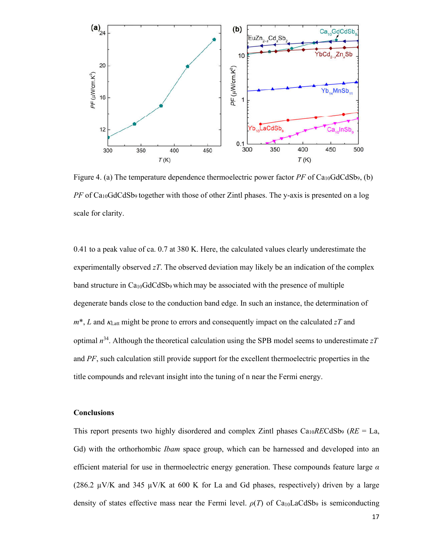

Figure 4. (a) The temperature dependence thermoelectric power factor  $PF$  of  $Ca<sub>10</sub>GdCdSb<sub>9</sub>$ , (b) *PF* of Ca<sub>10</sub>GdCdSb<sub>9</sub> together with those of other Zintl phases. The y-axis is presented on a log scale for clarity.

0.41 to a peak value of ca. 0.7 at 380 K. Here, the calculated values clearly underestimate the experimentally observed *zT*. The observed deviation may likely be an indication of the complex band structure in Ca10GdCdSb9 which may be associated with the presence of multiple degenerate bands close to the conduction band edge. In such an instance, the determination of  $m^*$ , *L* and  $\kappa$ <sub>Latt</sub> might be prone to errors and consequently impact on the calculated *zT* and optimal *n*<sup>34</sup> . Although the theoretical calculation using the SPB model seems to underestimate *zT* and *PF*, such calculation still provide support for the excellent thermoelectric properties in the title compounds and relevant insight into the tuning of n near the Fermi energy.

# **Conclusions**

This report presents two highly disordered and complex Zintl phases Ca10*RE*CdSb9 (*RE* = La, Gd) with the orthorhombic *Ibam* space group, which can be harnessed and developed into an efficient material for use in thermoelectric energy generation. These compounds feature large *α* (286.2  $\mu$ V/K and 345  $\mu$ V/K at 600 K for La and Gd phases, respectively) driven by a large density of states effective mass near the Fermi level.  $\rho(T)$  of Ca<sub>10</sub>LaCdSb<sub>9</sub> is semiconducting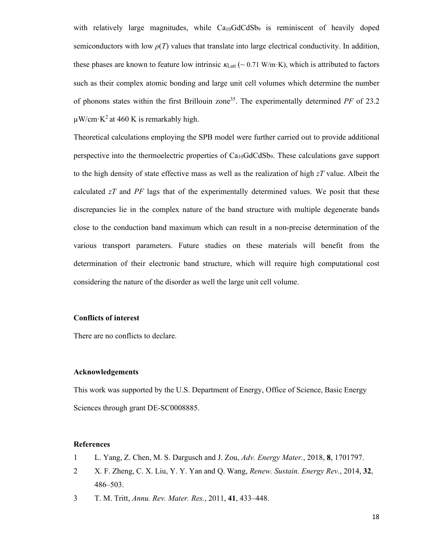with relatively large magnitudes, while  $Ca<sub>10</sub>GdCdSb<sub>9</sub>$  is reminiscent of heavily doped semiconductors with low  $\rho(T)$  values that translate into large electrical conductivity. In addition, these phases are known to feature low intrinsic  $\kappa_{\text{Latt}}$  (~ 0.71 W/m·K), which is attributed to factors such as their complex atomic bonding and large unit cell volumes which determine the number of phonons states within the first Brillouin zone<sup>35</sup>. The experimentally determined PF of 23.2  $\mu$ W/cm·K<sup>2</sup> at 460 K is remarkably high.

Theoretical calculations employing the SPB model were further carried out to provide additional perspective into the thermoelectric properties of Ca10GdCdSb9. These calculations gave support to the high density of state effective mass as well as the realization of high *zT* value. Albeit the calculated *zT* and *PF* lags that of the experimentally determined values. We posit that these discrepancies lie in the complex nature of the band structure with multiple degenerate bands close to the conduction band maximum which can result in a non-precise determination of the various transport parameters. Future studies on these materials will benefit from the determination of their electronic band structure, which will require high computational cost considering the nature of the disorder as well the large unit cell volume.

# **Conflicts of interest**

There are no conflicts to declare.

#### **Acknowledgements**

This work was supported by the U.S. Department of Energy, Office of Science, Basic Energy Sciences through grant DE-SC0008885.

# **References**

- 1 L. Yang, Z. Chen, M. S. Dargusch and J. Zou, *Adv. Energy Mater.*, 2018, **8**, 1701797.
- 2 X. F. Zheng, C. X. Liu, Y. Y. Yan and Q. Wang, *Renew. Sustain. Energy Rev.*, 2014, **32**, 486–503.
- 3 T. M. Tritt, *Annu. Rev. Mater. Res.*, 2011, **41**, 433–448.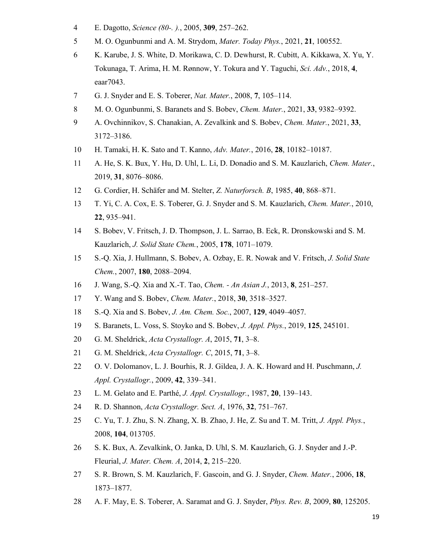- E. Dagotto, *Science (80-. ).*, 2005, **309**, 257–262.
- M. O. Ogunbunmi and A. M. Strydom, *Mater. Today Phys.*, 2021, **21**, 100552.
- K. Karube, J. S. White, D. Morikawa, C. D. Dewhurst, R. Cubitt, A. Kikkawa, X. Yu, Y. Tokunaga, T. Arima, H. M. Rønnow, Y. Tokura and Y. Taguchi, *Sci. Adv.*, 2018, **4**, eaar7043.
- G. J. Snyder and E. S. Toberer, *Nat. Mater.*, 2008, **7**, 105–114.
- M. O. Ogunbunmi, S. Baranets and S. Bobev, *Chem. Mater.*, 2021, **33**, 9382–9392.
- A. Ovchinnikov, S. Chanakian, A. Zevalkink and S. Bobev, *Chem. Mater.*, 2021, **33**, 3172–3186.
- H. Tamaki, H. K. Sato and T. Kanno, *Adv. Mater.*, 2016, **28**, 10182–10187.
- A. He, S. K. Bux, Y. Hu, D. Uhl, L. Li, D. Donadio and S. M. Kauzlarich, *Chem. Mater.*, 2019, **31**, 8076–8086.
- G. Cordier, H. Schäfer and M. Stelter, *Z. Naturforsch. B*, 1985, **40**, 868–871.
- T. Yi, C. A. Cox, E. S. Toberer, G. J. Snyder and S. M. Kauzlarich, *Chem. Mater.*, 2010, , 935–941.
- S. Bobev, V. Fritsch, J. D. Thompson, J. L. Sarrao, B. Eck, R. Dronskowski and S. M. Kauzlarich, *J. Solid State Chem.*, 2005, **178**, 1071–1079.
- S.-Q. Xia, J. Hullmann, S. Bobev, A. Ozbay, E. R. Nowak and V. Fritsch, *J. Solid State Chem.*, 2007, **180**, 2088–2094.
- J. Wang, S.-Q. Xia and X.-T. Tao, *Chem. - An Asian J.*, 2013, **8**, 251–257.
- Y. Wang and S. Bobev, *Chem. Mater.*, 2018, **30**, 3518–3527.
- S.-Q. Xia and S. Bobev, *J. Am. Chem. Soc.*, 2007, **129**, 4049–4057.
- S. Baranets, L. Voss, S. Stoyko and S. Bobev, *J. Appl. Phys.*, 2019, **125**, 245101.
- G. M. Sheldrick, *Acta Crystallogr. A*, 2015, **71**, 3–8.
- G. M. Sheldrick, *Acta Crystallogr. C*, 2015, **71**, 3–8.
- O. V. Dolomanov, L. J. Bourhis, R. J. Gildea, J. A. K. Howard and H. Puschmann, *J. Appl. Crystallogr.*, 2009, **42**, 339–341.
- L. M. Gelato and E. Parthé, *J. Appl. Crystallogr.*, 1987, **20**, 139–143.
- R. D. Shannon, *Acta Crystallogr. Sect. A*, 1976, **32**, 751–767.
- C. Yu, T. J. Zhu, S. N. Zhang, X. B. Zhao, J. He, Z. Su and T. M. Tritt, *J. Appl. Phys.*, 2008, **104**, 013705.
- S. K. Bux, A. Zevalkink, O. Janka, D. Uhl, S. M. Kauzlarich, G. J. Snyder and J.-P. Fleurial, *J. Mater. Chem. A*, 2014, **2**, 215–220.
- S. R. Brown, S. M. Kauzlarich, F. Gascoin, and G. J. Snyder, *Chem. Mater.*, 2006, **18**, 1873–1877.
- A. F. May, E. S. Toberer, A. Saramat and G. J. Snyder, *Phys. Rev. B*, 2009, **80**, 125205.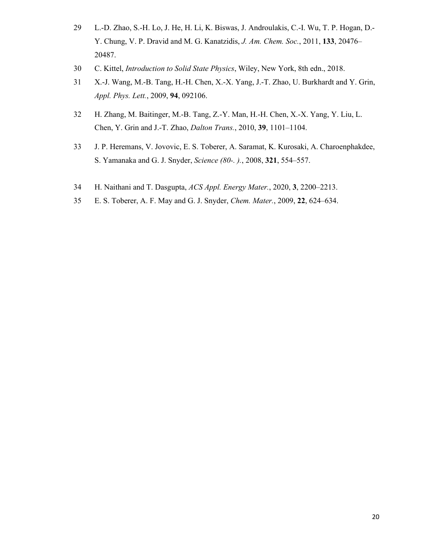- L.-D. Zhao, S.-H. Lo, J. He, H. Li, K. Biswas, J. Androulakis, C.-I. Wu, T. P. Hogan, D.- Y. Chung, V. P. Dravid and M. G. Kanatzidis, *J. Am. Chem. Soc.*, 2011, **133**, 20476– 20487.
- C. Kittel, *Introduction to Solid State Physics*, Wiley, New York, 8th edn., 2018.
- X.-J. Wang, M.-B. Tang, H.-H. Chen, X.-X. Yang, J.-T. Zhao, U. Burkhardt and Y. Grin, *Appl. Phys. Lett.*, 2009, **94**, 092106.
- H. Zhang, M. Baitinger, M.-B. Tang, Z.-Y. Man, H.-H. Chen, X.-X. Yang, Y. Liu, L. Chen, Y. Grin and J.-T. Zhao, *Dalton Trans.*, 2010, **39**, 1101–1104.
- J. P. Heremans, V. Jovovic, E. S. Toberer, A. Saramat, K. Kurosaki, A. Charoenphakdee, S. Yamanaka and G. J. Snyder, *Science (80-. ).*, 2008, **321**, 554–557.
- H. Naithani and T. Dasgupta, *ACS Appl. Energy Mater.*, 2020, **3**, 2200–2213.
- E. S. Toberer, A. F. May and G. J. Snyder, *Chem. Mater.*, 2009, **22**, 624–634.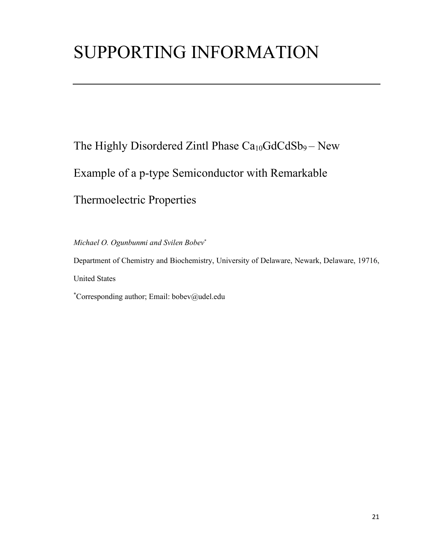# SUPPORTING INFORMATION

The Highly Disordered Zintl Phase Ca<sub>10</sub>GdCdSb<sub>9</sub> – New Example of a p-type Semiconductor with Remarkable Thermoelectric Properties

*Michael O. Ogunbunmi and Svilen Bobev*\*

Department of Chemistry and Biochemistry, University of Delaware, Newark, Delaware, 19716, United States \* Corresponding author; Email: bobev@udel.edu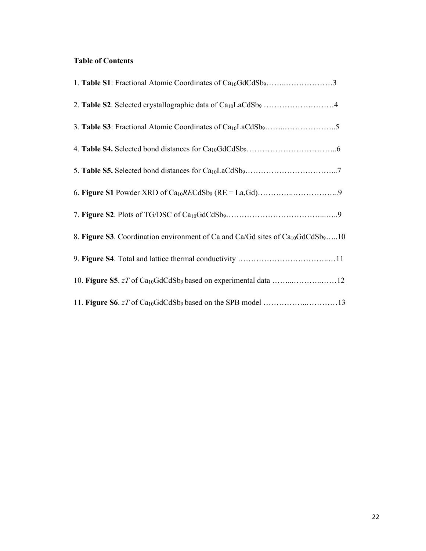# **Table of Contents**

| 1. Table S1: Fractional Atomic Coordinates of Ca <sub>10</sub> GdCdSb <sub>9</sub> 3                    |
|---------------------------------------------------------------------------------------------------------|
| 2. Table S2. Selected crystallographic data of Ca <sub>10</sub> LaCdSb <sub>9</sub> 4                   |
|                                                                                                         |
|                                                                                                         |
|                                                                                                         |
|                                                                                                         |
|                                                                                                         |
| 8. Figure S3. Coordination environment of Ca and Ca/Gd sites of Ca <sub>10</sub> GdCdSb <sub>9</sub> 10 |
|                                                                                                         |
|                                                                                                         |
|                                                                                                         |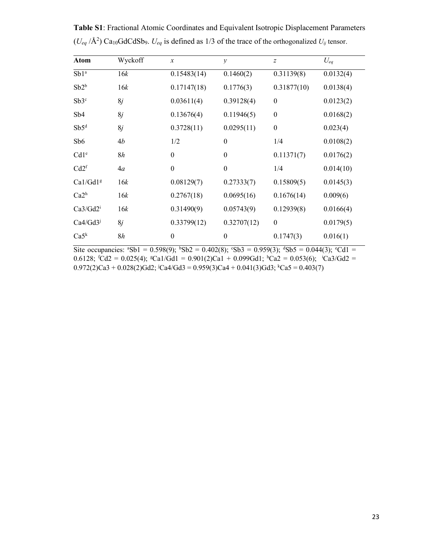| Atom                 | Wyckoff | $\boldsymbol{x}$ | $\mathcal{V}$    | $\overline{z}$   | $U_{eq}$  |
|----------------------|---------|------------------|------------------|------------------|-----------|
| Sb1ª                 | 16k     | 0.15483(14)      | 0.1460(2)        | 0.31139(8)       | 0.0132(4) |
| $Sb2^b$              | 16k     | 0.17147(18)      | 0.1776(3)        | 0.31877(10)      | 0.0138(4) |
| Sb3c                 | 8j      | 0.03611(4)       | 0.39128(4)       | $\boldsymbol{0}$ | 0.0123(2) |
| Sb4                  | 8j      | 0.13676(4)       | 0.11946(5)       | $\boldsymbol{0}$ | 0.0168(2) |
| $Sb5^d$              | 8j      | 0.3728(11)       | 0.0295(11)       | $\boldsymbol{0}$ | 0.023(4)  |
| Sb <sub>6</sub>      | 4b      | 1/2              | $\boldsymbol{0}$ | 1/4              | 0.0108(2) |
| Cd1 <sup>e</sup>     | 8h      | $\boldsymbol{0}$ | $\boldsymbol{0}$ | 0.11371(7)       | 0.0176(2) |
| Cd2 <sup>f</sup>     | 4a      | $\boldsymbol{0}$ | $\boldsymbol{0}$ | 1/4              | 0.014(10) |
| Ca1/Gd1g             | 16k     | 0.08129(7)       | 0.27333(7)       | 0.15809(5)       | 0.0145(3) |
| Ca2 <sup>h</sup>     | 16k     | 0.2767(18)       | 0.0695(16)       | 0.1676(14)       | 0.009(6)  |
| Ca3/Gd2 <sup>i</sup> | 16k     | 0.31490(9)       | 0.05743(9)       | 0.12939(8)       | 0.0166(4) |
| $Ca4/Gd3^j$          | 8j      | 0.33799(12)      | 0.32707(12)      | $\boldsymbol{0}$ | 0.0179(5) |
| Ca5 <sup>k</sup>     | 8h      | $\boldsymbol{0}$ | $\boldsymbol{0}$ | 0.1747(3)        | 0.016(1)  |

**Table S1**: Fractional Atomic Coordinates and Equivalent Isotropic Displacement Parameters  $(U_{eq}/\text{\AA}^2)$  Ca<sub>10</sub>GdCdSb<sub>9</sub>.  $U_{eq}$  is defined as 1/3 of the trace of the orthogonalized  $U_{ij}$  tensor.

Site occupancies:  ${}^{\text{a}}Sb1 = 0.598(9)$ ;  ${}^{\text{b}}Sb2 = 0.402(8)$ ;  ${}^{\text{c}}Sb3 = 0.959(3)$ ;  ${}^{\text{d}}Sb5 = 0.044(3)$ ;  ${}^{\text{c}}Cd1 =$ 0.6128;  ${}^{t}Cd2 = 0.025(4)$ ;  ${}^{s}Ca1/Gd1 = 0.901(2)Ca1 + 0.099Gd1$ ;  ${}^{h}Ca2 = 0.053(6)$ ;  ${}^{i}Ca3/Gd2 =$  $0.972(2)$ Ca3 +  $0.028(2)$ Gd2; <sup>j</sup>Ca4/Gd3 =  $0.959(3)$ Ca4 +  $0.041(3)$ Gd3; <sup>k</sup>Ca5 =  $0.403(7)$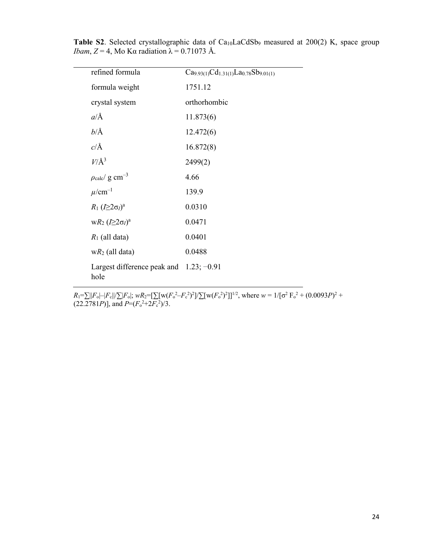| refined formula                                    | $Ca9.93(1)Cd1.31(1)La0.78Sb9.01(1)$ |
|----------------------------------------------------|-------------------------------------|
|                                                    |                                     |
| formula weight                                     | 1751.12                             |
| crystal system                                     | orthorhombic                        |
| $a/\text{\AA}$                                     | 11.873(6)                           |
| $b/\text{\AA}$                                     | 12.472(6)                           |
| $c/\text{\AA}$                                     | 16.872(8)                           |
| $V/\AA$ <sup>3</sup>                               | 2499(2)                             |
| $\rho_{\rm calc}/~{\rm g~cm^{-3}}$                 | 4.66                                |
| $\mu$ /cm <sup>-1</sup>                            | 139.9                               |
| $R_1 (I \geq 2\sigma_I)^a$                         | 0.0310                              |
| $wR_2 (I \geq 2\sigma_I)^a$                        | 0.0471                              |
| $R_1$ (all data)                                   | 0.0401                              |
| $wR_2$ (all data)                                  | 0.0488                              |
| Largest difference peak and $1.23$ ; -0.91<br>hole |                                     |

Table S2. Selected crystallographic data of Ca<sub>10</sub>LaCdSb<sub>9</sub> measured at 200(2) K, space group *Ibam*,  $Z = 4$ , Mo Kα radiation  $\lambda = 0.71073$  Å.

 $R_1 = \sum ||F_o| - |F_c|| / \sum |F_o|$ ;  $wR_2 = [\sum [w(F_o^2 - F_c^2)^2] / \sum [w(F_o^2)^2]]^{1/2}$ , where  $w = 1/[\sigma^2 F_o^2 + (0.0093P)^2 +$  $(22.2781P)$ ], and  $P=(F_o^2+2F_c^2)/3$ .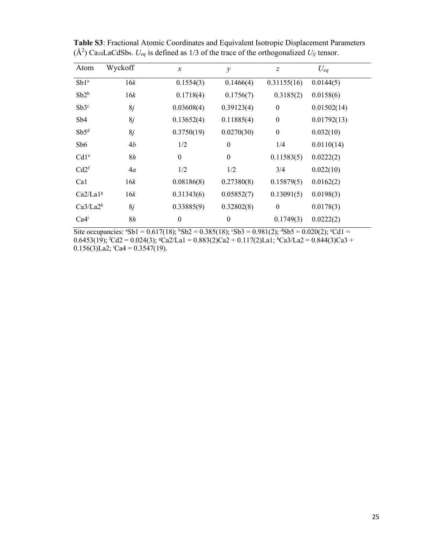| Atom                 | Wyckoff | $\boldsymbol{x}$ | $\mathcal{Y}$    | $\boldsymbol{Z}$ | $U_{eq}$    |
|----------------------|---------|------------------|------------------|------------------|-------------|
| Sb1 <sup>a</sup>     | 16k     | 0.1554(3)        | 0.1466(4)        | 0.31155(16)      | 0.0144(5)   |
| $Sb2^b$              | 16k     | 0.1718(4)        | 0.1756(7)        | 0.3185(2)        | 0.0158(6)   |
| Sb3c                 | 8j      | 0.03608(4)       | 0.39123(4)       | $\boldsymbol{0}$ | 0.01502(14) |
| Sb4                  | 8j      | 0.13652(4)       | 0.11885(4)       | $\boldsymbol{0}$ | 0.01792(13) |
| Sb5 <sup>d</sup>     | 8j      | 0.3750(19)       | 0.0270(30)       | $\boldsymbol{0}$ | 0.032(10)   |
| Sb6                  | 4b      | 1/2              | $\boldsymbol{0}$ | 1/4              | 0.0110(14)  |
| Cd1 <sup>e</sup>     | 8h      | $\boldsymbol{0}$ | $\boldsymbol{0}$ | 0.11583(5)       | 0.0222(2)   |
| Cd2 <sup>f</sup>     | 4a      | 1/2              | 1/2              | 3/4              | 0.022(10)   |
| Ca1                  | 16k     | 0.08186(8)       | 0.27380(8)       | 0.15879(5)       | 0.0162(2)   |
| Ca2/La1 <sup>g</sup> | 16k     | 0.31343(6)       | 0.05852(7)       | 0.13091(5)       | 0.0198(3)   |
| Ca3/La2 <sup>h</sup> | 8j      | 0.33885(9)       | 0.32802(8)       | $\boldsymbol{0}$ | 0.0178(3)   |
| Ca4 <sup>i</sup>     | 8h      | $\boldsymbol{0}$ | $\boldsymbol{0}$ | 0.1749(3)        | 0.0222(2)   |

**Table S3**: Fractional Atomic Coordinates and Equivalent Isotropic Displacement Parameters  $(A<sup>2</sup>)$  Ca<sub>10</sub>LaCdSb<sub>9</sub>.  $U_{eq}$  is defined as 1/3 of the trace of the orthogonalized  $U_{ij}$  tensor.

Site occupancies:  ${}^{8}Sb1 = 0.617(18); {}^{6}Sb2 = 0.385(18); {}^{6}Sb3 = 0.981(2); {}^{d}Sb5 = 0.020(2); {}^{6}Cd1 =$ 0.6453(19);  ${}^{6}$ Cd2 = 0.024(3);  ${}^{8}$ Ca2/La1 = 0.883(2)Ca2 + 0.117(2)La1;  ${}^{h}$ Ca3/La2 = 0.844(3)Ca3 +  $0.156(3)$ La2; <sup>i</sup>Ca4 = 0.3547(19).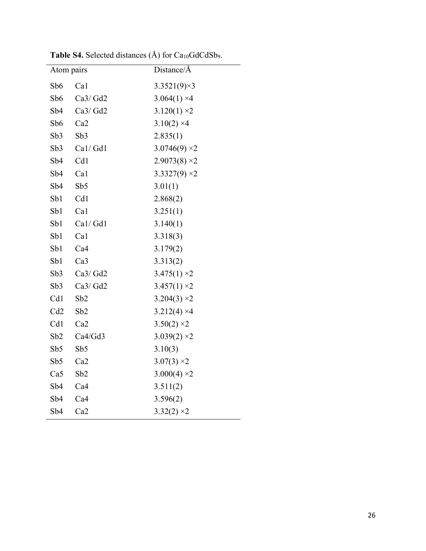| Atom pairs      |                 | Distance/Å          |
|-----------------|-----------------|---------------------|
| Sb <sub>6</sub> | Ca1             | $3.3521(9)\times3$  |
| Sb6             | Ca3/Gd2         | $3.064(1)$ ×4       |
| Sb4             | Ca3/Gd2         | $3.120(1) \times 2$ |
| Sb6             | Ca2             | $3.10(2)$ ×4        |
| Sb3             | Sb3             | 2.835(1)            |
| Sb3             | Cal/Gd1         | $3.0746(9)$ ×2      |
| Sb4             | Cd1             | $2.9073(8)$ × 2     |
| Sb4             | Ca1             | $3.3327(9)$ ×2      |
| Sb4             | Sb5             | 3.01(1)             |
| Sb1             | Cd1             | 2.868(2)            |
| Sb1             | Ca1             | 3.251(1)            |
| Sb1             | Cal/Gd1         | 3.140(1)            |
| Sb1             | Ca1             | 3.318(3)            |
| Sb1             | Ca4             | 3.179(2)            |
| Sb1             | Ca <sub>3</sub> | 3.313(2)            |
| Sb3             | Ca3/Gd2         | $3.475(1)$ ×2       |
| Sb3             | Ca3/Gd2         | $3.457(1) \times 2$ |
| Cd1             | Sb2             | $3.204(3) \times 2$ |
| Cd2             | Sb2             | $3.212(4)$ ×4       |
| Cd1             | Ca2             | $3.50(2)$ ×2        |
| Sb2             | Ca4/Gd3         | $3.039(2)$ ×2       |
| Sb5             | Sb5             | 3.10(3)             |
| Sb5             | Ca <sub>2</sub> | $3.07(3)$ ×2        |
| Ca5             | Sb2             | $3.000(4)$ ×2       |
| Sb4             | Ca4             | 3.511(2)            |
| Sb4             | Ca4             | 3.596(2)            |
| Sb4             | Ca <sub>2</sub> | $3.32(2)$ ×2        |

Table S4. Selected distances (Å) for Ca<sub>10</sub>GdCdSb9.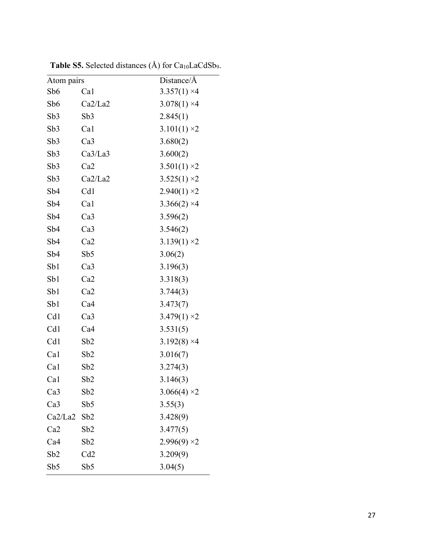| Atom pairs      |                 | Distance/Å          |
|-----------------|-----------------|---------------------|
| Sb <sub>6</sub> | Ca1             | $3.357(1)$ ×4       |
| Sb6             | Ca2/La2         | $3.078(1)$ ×4       |
| Sb <sub>3</sub> | Sb3             | 2.845(1)            |
| Sb3             | Ca1             | $3.101(1) \times 2$ |
| Sb3             | Ca3             | 3.680(2)            |
| Sb3             | Ca3/La3         | 3.600(2)            |
| Sb3             | Ca2             | $3.501(1)$ ×2       |
| Sb3             | Ca2/La2         | $3.525(1) \times 2$ |
| Sb <sub>4</sub> | Cd1             | $2.940(1) \times 2$ |
| Sb <sub>4</sub> | Ca1             | $3.366(2)$ ×4       |
| Sb <sub>4</sub> | Ca3             | 3.596(2)            |
| Sb <sub>4</sub> | Ca3             | 3.546(2)            |
| Sb <sub>4</sub> | Ca2             | $3.139(1) \times 2$ |
| Sb <sub>4</sub> | Sb5             | 3.06(2)             |
| Sb1             | Ca3             | 3.196(3)            |
| Sb1             | Ca2             | 3.318(3)            |
| Sb1             | Ca2             | 3.744(3)            |
| Sb1             | Ca4             | 3.473(7)            |
| Cd1             | Ca <sub>3</sub> | $3.479(1)$ ×2       |
| Cd1             | Ca4             | 3.531(5)            |
| Cd1             | Sb2             | $3.192(8)$ ×4       |
| Ca1             | Sb2             | 3.016(7)            |
| Ca1             | Sb2             | 3.274(3)            |
| Ca1             | Sb2             | 3.146(3)            |
| Ca <sub>3</sub> | Sb2             | $3.066(4)$ ×2       |
| Ca <sub>3</sub> | Sb5             | 3.55(3)             |
| Ca2/La2         | Sb2             | 3.428(9)            |
| Ca2             | Sb <sub>2</sub> | 3.477(5)            |
| Ca4             | Sb2             | $2.996(9)$ ×2       |
| Sb2             | Cd2             | 3.209(9)            |
| Sb5             | Sb5             | 3.04(5)             |

**Table S5.** Selected distances  $(A)$  for  $Ca_{10}LaCdSb_9$ .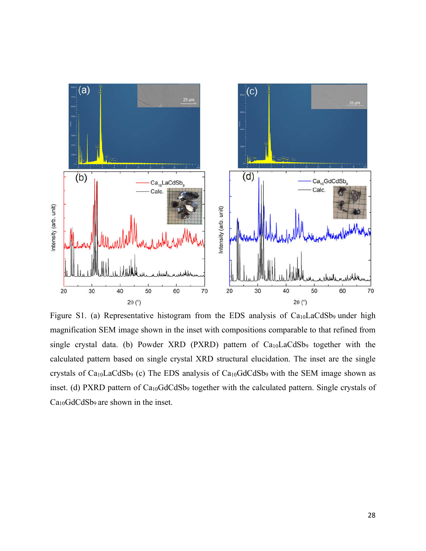

Figure S1. (a) Representative histogram from the EDS analysis of  $Ca<sub>10</sub>LaCdSb<sub>9</sub>$  under high magnification SEM image shown in the inset with compositions comparable to that refined from single crystal data. (b) Powder XRD (PXRD) pattern of Ca<sub>10</sub>LaCdSb<sub>9</sub> together with the calculated pattern based on single crystal XRD structural elucidation. The inset are the single crystals of Ca10LaCdSb9 (c) The EDS analysis of Ca10GdCdSb9 with the SEM image shown as inset. (d) PXRD pattern of Ca<sub>10</sub>GdCdSb<sub>9</sub> together with the calculated pattern. Single crystals of Ca10GdCdSb9 are shown in the inset.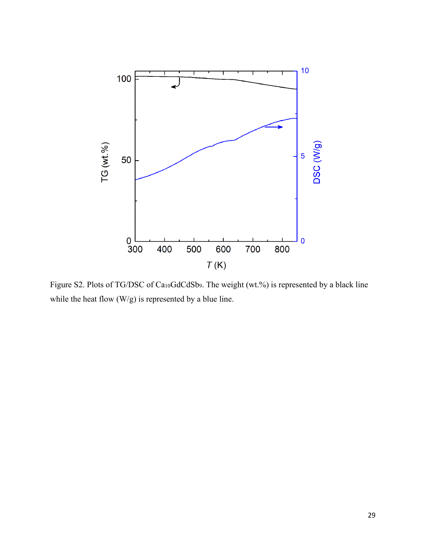

Figure S2. Plots of TG/DSC of Ca10GdCdSb9. The weight (wt.%) is represented by a black line while the heat flow (W/g) is represented by a blue line.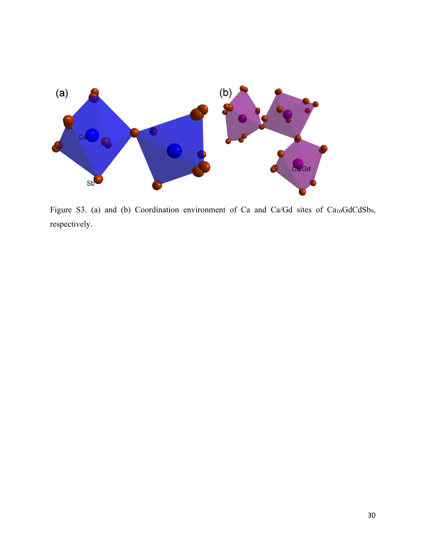

Figure S3. (a) and (b) Coordination environment of Ca and Ca/Gd sites of Ca<sub>10</sub>GdCdSb<sub>9</sub>, respectively.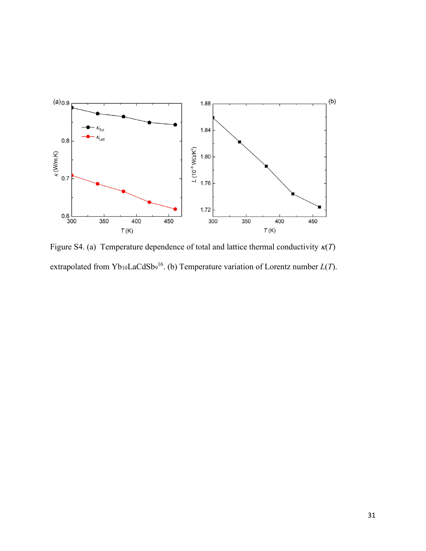

Figure S4. (a) Temperature dependence of total and lattice thermal conductivity  $\kappa(T)$ extrapolated from Yb<sub>10</sub>LaCdSb<sub>9</sub><sup>16</sup>. (b) Temperature variation of Lorentz number *L*(*T*).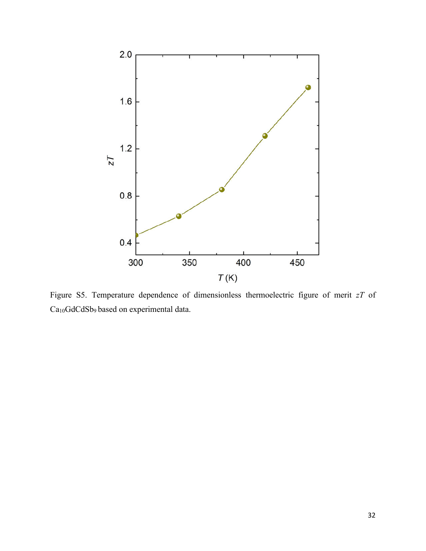

Figure S5. Temperature dependence of dimensionless thermoelectric figure of merit *zT* of Ca10GdCdSb9 based on experimental data.